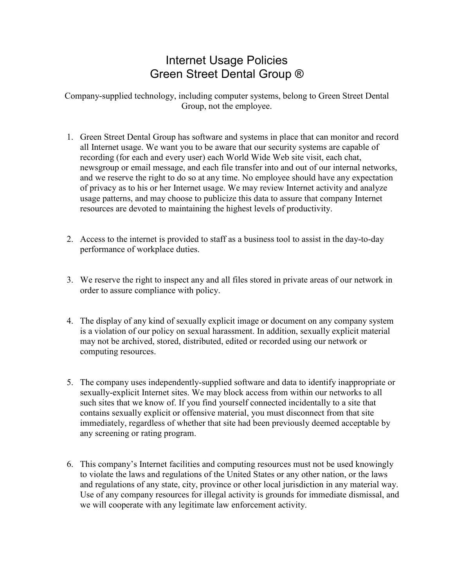## Internet Usage Policies Green Street Dental Group ®

Company-supplied technology, including computer systems, belong to Green Street Dental Group, not the employee.

- 1. Green Street Dental Group has software and systems in place that can monitor and record all Internet usage. We want you to be aware that our security systems are capable of recording (for each and every user) each World Wide Web site visit, each chat, newsgroup or email message, and each file transfer into and out of our internal networks, and we reserve the right to do so at any time. No employee should have any expectation of privacy as to his or her Internet usage. We may review Internet activity and analyze usage patterns, and may choose to publicize this data to assure that company Internet resources are devoted to maintaining the highest levels of productivity.
- 2. Access to the internet is provided to staff as a business tool to assist in the day-to-day performance of workplace duties.
- 3. We reserve the right to inspect any and all files stored in private areas of our network in order to assure compliance with policy.
- 4. The display of any kind of sexually explicit image or document on any company system is a violation of our policy on sexual harassment. In addition, sexually explicit material may not be archived, stored, distributed, edited or recorded using our network or computing resources.
- 5. The company uses independently-supplied software and data to identify inappropriate or sexually-explicit Internet sites. We may block access from within our networks to all such sites that we know of. If you find yourself connected incidentally to a site that contains sexually explicit or offensive material, you must disconnect from that site immediately, regardless of whether that site had been previously deemed acceptable by any screening or rating program.
- 6. This company's Internet facilities and computing resources must not be used knowingly to violate the laws and regulations of the United States or any other nation, or the laws and regulations of any state, city, province or other local jurisdiction in any material way. Use of any company resources for illegal activity is grounds for immediate dismissal, and we will cooperate with any legitimate law enforcement activity.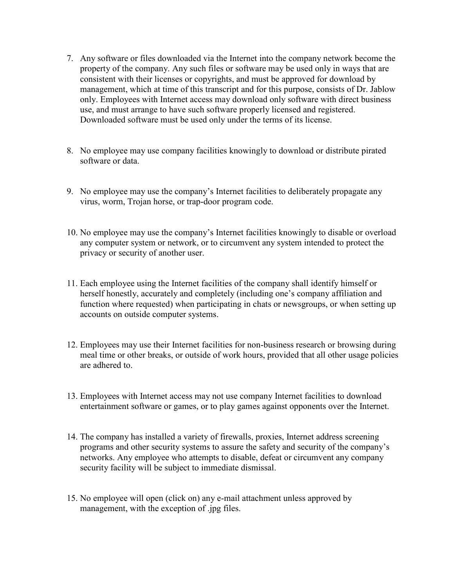- 7. Any software or files downloaded via the Internet into the company network become the property of the company. Any such files or software may be used only in ways that are consistent with their licenses or copyrights, and must be approved for download by management, which at time of this transcript and for this purpose, consists of Dr. Jablow only. Employees with Internet access may download only software with direct business use, and must arrange to have such software properly licensed and registered. Downloaded software must be used only under the terms of its license.
- 8. No employee may use company facilities knowingly to download or distribute pirated software or data
- 9. No employee may use the company's Internet facilities to deliberately propagate any virus, worm, Trojan horse, or trap-door program code.
- 10. No employee may use the company's Internet facilities knowingly to disable or overload any computer system or network, or to circumvent any system intended to protect the privacy or security of another user.
- 11. Each employee using the Internet facilities of the company shall identify himself or herself honestly, accurately and completely (including one's company affiliation and function where requested) when participating in chats or newsgroups, or when setting up accounts on outside computer systems.
- 12. Employees may use their Internet facilities for non-business research or browsing during meal time or other breaks, or outside of work hours, provided that all other usage policies are adhered to.
- 13. Employees with Internet access may not use company Internet facilities to download entertainment software or games, or to play games against opponents over the Internet.
- 14. The company has installed a variety of firewalls, proxies, Internet address screening programs and other security systems to assure the safety and security of the company's networks. Any employee who attempts to disable, defeat or circumvent any company security facility will be subject to immediate dismissal.
- 15. No employee will open (click on) any e-mail attachment unless approved by management, with the exception of .jpg files.